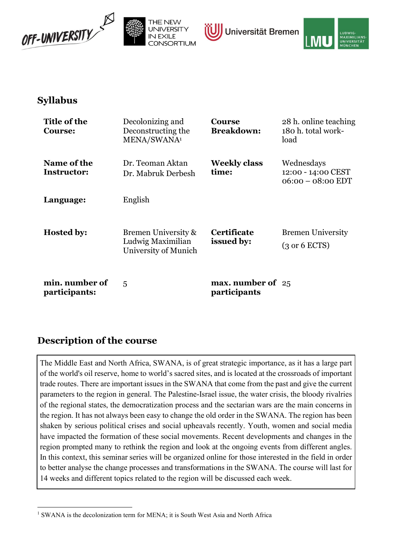





# Syllabus

| Title of the<br><b>Course:</b>    | Decolonizing and<br>Deconstructing the<br>MENA/SWANA <sup>1</sup> | <b>Course</b><br><b>Breakdown:</b>  | 28 h. online teaching<br>180 h. total work-<br>load          |
|-----------------------------------|-------------------------------------------------------------------|-------------------------------------|--------------------------------------------------------------|
| Name of the<br><b>Instructor:</b> | Dr. Teoman Aktan<br>Dr. Mabruk Derbesh                            | <b>Weekly class</b><br>time:        | Wednesdays<br>12:00 - 14:00 CEST<br>$06:00 - 08:00$ EDT      |
| Language:                         | English                                                           |                                     |                                                              |
| <b>Hosted by:</b>                 | Bremen University &<br>Ludwig Maximilian<br>University of Munich  | <b>Certificate</b><br>issued by:    | <b>Bremen University</b><br>$(3 \text{ or } 6 \text{ ECTS})$ |
| min. number of<br>participants:   | 5                                                                 | max. number of $25$<br>participants |                                                              |

# Description of the course

The Middle East and North Africa, SWANA, is of great strategic importance, as it has a large part of the world's oil reserve, home to world's sacred sites, and is located at the crossroads of important trade routes. There are important issues in the SWANA that come from the past and give the current parameters to the region in general. The Palestine-Israel issue, the water crisis, the bloody rivalries of the regional states, the democratization process and the sectarian wars are the main concerns in the region. It has not always been easy to change the old order in the SWANA. The region has been shaken by serious political crises and social upheavals recently. Youth, women and social media have impacted the formation of these social movements. Recent developments and changes in the region prompted many to rethink the region and look at the ongoing events from different angles. In this context, this seminar series will be organized online for those interested in the field in order to better analyse the change processes and transformations in the SWANA. The course will last for 14 weeks and different topics related to the region will be discussed each week.

<sup>&</sup>lt;sup>1</sup> SWANA is the decolonization term for MENA; it is South West Asia and North Africa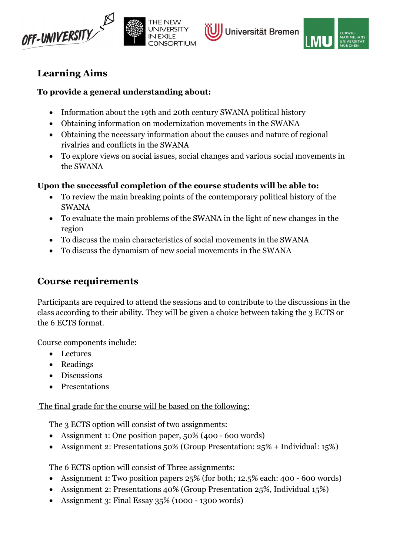





# Learning Aims

### To provide a general understanding about:

- Information about the 19th and 20th century SWANA political history
- Obtaining information on modernization movements in the SWANA
- Obtaining the necessary information about the causes and nature of regional rivalries and conflicts in the SWANA
- To explore views on social issues, social changes and various social movements in the SWANA

### Upon the successful completion of the course students will be able to:

- To review the main breaking points of the contemporary political history of the SWANA
- To evaluate the main problems of the SWANA in the light of new changes in the region
- To discuss the main characteristics of social movements in the SWANA
- To discuss the dynamism of new social movements in the SWANA

# Course requirements

Participants are required to attend the sessions and to contribute to the discussions in the class according to their ability. They will be given a choice between taking the 3 ECTS or the 6 ECTS format.

Course components include:

- Lectures
- Readings
- Discussions
- Presentations

The final grade for the course will be based on the following:

The 3 ECTS option will consist of two assignments:

- Assignment 1: One position paper, 50% (400 600 words)
- Assignment 2: Presentations 50% (Group Presentation: 25% + Individual: 15%)

The 6 ECTS option will consist of Three assignments:

- Assignment 1: Two position papers 25% (for both; 12.5% each: 400 600 words)
- Assignment 2: Presentations 40% (Group Presentation 25%, Individual 15%)
- Assignment 3: Final Essay 35% (1000 1300 words)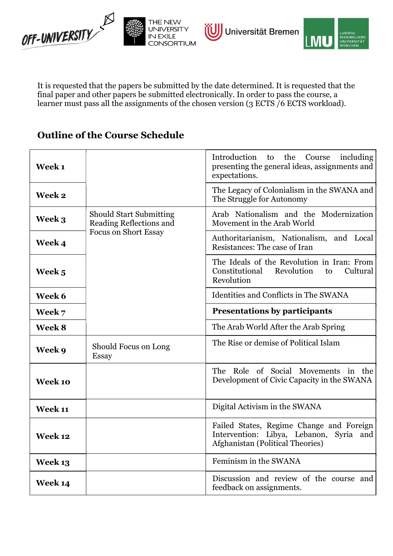



It is requested that the papers be submitted by the date determined. It is requested that the final paper and other papers be submitted electronically. In order to pass the course, a learner must pass all the assignments of the chosen version (3 ECTS /6 ECTS workload).

# Outline of the Course Schedule

| Week 1       |                                                           | Introduction<br>the<br>including<br>to<br>Course<br>presenting the general ideas, assignments and<br>expectations.      |  |
|--------------|-----------------------------------------------------------|-------------------------------------------------------------------------------------------------------------------------|--|
| Week 2       |                                                           | The Legacy of Colonialism in the SWANA and<br>The Struggle for Autonomy                                                 |  |
| Week 3       | <b>Should Start Submitting</b><br>Reading Reflections and | Arab Nationalism and the Modernization<br>Movement in the Arab World                                                    |  |
| <b>Week4</b> | <b>Focus on Short Essay</b>                               | Authoritarianism, Nationalism, and Local<br>Resistances: The case of Iran                                               |  |
| Week 5       |                                                           | The Ideals of the Revolution in Iran: From<br>Constitutional<br>Revolution<br>Cultural<br>to<br>Revolution              |  |
| Week 6       |                                                           | Identities and Conflicts in The SWANA                                                                                   |  |
| Week 7       |                                                           | <b>Presentations by participants</b>                                                                                    |  |
| Week 8       |                                                           | The Arab World After the Arab Spring                                                                                    |  |
| Week 9       | Should Focus on Long<br><b>Essay</b>                      | The Rise or demise of Political Islam                                                                                   |  |
| Week 10      |                                                           | The Role of Social Movements in the<br>Development of Civic Capacity in the SWANA                                       |  |
| Week 11      |                                                           | Digital Activism in the SWANA                                                                                           |  |
| Week 12      |                                                           | Failed States, Regime Change and Foreign<br>Intervention: Libya, Lebanon, Syria and<br>Afghanistan (Political Theories) |  |
| Week 13      |                                                           | Feminism in the SWANA                                                                                                   |  |
| Week 14      |                                                           | Discussion and review of the course and<br>feedback on assignments.                                                     |  |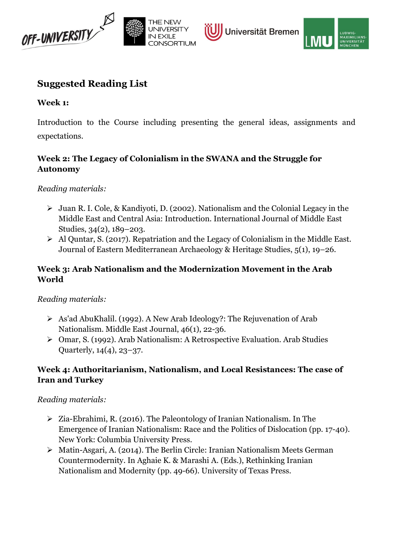





## Suggested Reading List

#### Week 1:

Introduction to the Course including presenting the general ideas, assignments and expectations.

## Week 2: The Legacy of Colonialism in the SWANA and the Struggle for Autonomy

Reading materials:

- Juan R. I. Cole, & Kandiyoti, D. (2002). Nationalism and the Colonial Legacy in the Middle East and Central Asia: Introduction. International Journal of Middle East Studies, 34(2), 189–203.
- $\triangleright$  Al Quntar, S. (2017). Repatriation and the Legacy of Colonialism in the Middle East. Journal of Eastern Mediterranean Archaeology & Heritage Studies, 5(1), 19–26.

#### Week 3: Arab Nationalism and the Modernization Movement in the Arab World

#### Reading materials:

- As'ad AbuKhalil. (1992). A New Arab Ideology?: The Rejuvenation of Arab Nationalism. Middle East Journal, 46(1), 22-36.
- Omar, S. (1992). Arab Nationalism: A Retrospective Evaluation. Arab Studies Quarterly, 14(4), 23–37.

#### Week 4: Authoritarianism, Nationalism, and Local Resistances: The case of Iran and Turkey

Reading materials:

- Zia-Ebrahimi, R. (2016). The Paleontology of Iranian Nationalism. In The Emergence of Iranian Nationalism: Race and the Politics of Dislocation (pp. 17-40). New York: Columbia University Press.
- Matin-Asgari, A. (2014). The Berlin Circle: Iranian Nationalism Meets German Countermodernity. In Aghaie K. & Marashi A. (Eds.), Rethinking Iranian Nationalism and Modernity (pp. 49-66). University of Texas Press.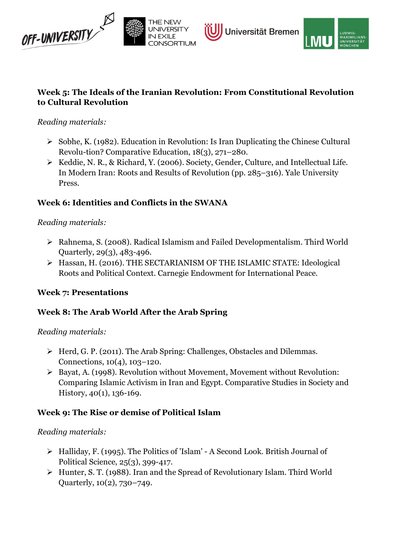



### Week 5: The Ideals of the Iranian Revolution: From Constitutional Revolution to Cultural Revolution

### Reading materials:

- $\triangleright$  Sobhe, K. (1982). Education in Revolution: Is Iran Duplicating the Chinese Cultural Revolu-tion? Comparative Education, 18(3), 271–280.
- ▶ Keddie, N. R., & Richard, Y. (2006). Society, Gender, Culture, and Intellectual Life. In Modern Iran: Roots and Results of Revolution (pp. 285–316). Yale University Press.

## Week 6: Identities and Conflicts in the SWANA

#### Reading materials:

- Rahnema, S. (2008). Radical Islamism and Failed Developmentalism. Third World Quarterly, 29(3), 483-496.
- Hassan, H. (2016). THE SECTARIANISM OF THE ISLAMIC STATE: Ideological Roots and Political Context. Carnegie Endowment for International Peace.

#### Week 7: Presentations

## Week 8: The Arab World After the Arab Spring

#### Reading materials:

- $\triangleright$  Herd, G. P. (2011). The Arab Spring: Challenges, Obstacles and Dilemmas. Connections, 10(4), 103–120.
- Bayat, A. (1998). Revolution without Movement, Movement without Revolution: Comparing Islamic Activism in Iran and Egypt. Comparative Studies in Society and History, 40(1), 136-169.

## Week 9: The Rise or demise of Political Islam

#### Reading materials:

- Halliday, F. (1995). The Politics of 'Islam' A Second Look. British Journal of Political Science, 25(3), 399-417.
- Hunter, S. T. (1988). Iran and the Spread of Revolutionary Islam. Third World Quarterly, 10(2), 730–749.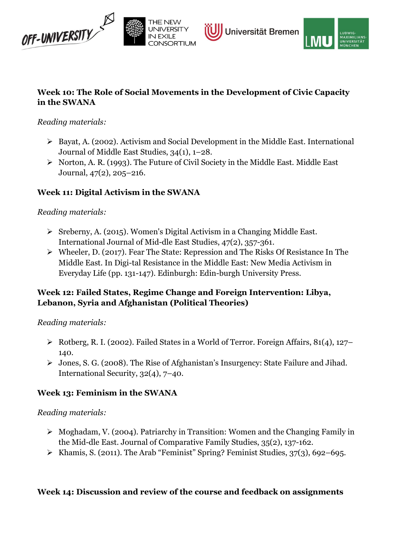





#### Week 10: The Role of Social Movements in the Development of Civic Capacity in the SWANA

#### Reading materials:

- Bayat, A. (2002). Activism and Social Development in the Middle East. International Journal of Middle East Studies, 34(1), 1–28.
- $\triangleright$  Norton, A. R. (1993). The Future of Civil Society in the Middle East. Middle East Journal, 47(2), 205–216.

## Week 11: Digital Activism in the SWANA

#### Reading materials:

- Sreberny, A. (2015). Women's Digital Activism in a Changing Middle East. International Journal of Mid-dle East Studies, 47(2), 357-361.
- Wheeler, D. (2017). Fear The State: Repression and The Risks Of Resistance In The Middle East. In Digi-tal Resistance in the Middle East: New Media Activism in Everyday Life (pp. 131-147). Edinburgh: Edin-burgh University Press.

### Week 12: Failed States, Regime Change and Foreign Intervention: Libya, Lebanon, Syria and Afghanistan (Political Theories)

#### Reading materials:

- $\triangleright$  Rotberg, R. I. (2002). Failed States in a World of Terror. Foreign Affairs, 81(4), 127– 140.
- Jones, S. G. (2008). The Rise of Afghanistan's Insurgency: State Failure and Jihad. International Security, 32(4), 7–40.

#### Week 13: Feminism in the SWANA

#### Reading materials:

- $\triangleright$  Moghadam, V. (2004). Patriarchy in Transition: Women and the Changing Family in the Mid-dle East. Journal of Comparative Family Studies, 35(2), 137-162.
- $\triangleright$  Khamis, S. (2011). The Arab "Feminist" Spring? Feminist Studies, 37(3), 692–695.

#### Week 14: Discussion and review of the course and feedback on assignments